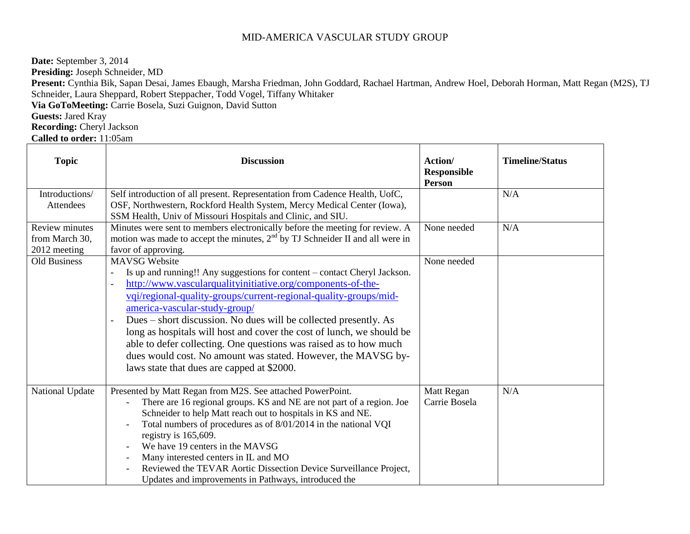**Date:** September 3, 2014 **Presiding:** Joseph Schneider, MD **Present:** Cynthia Bik, Sapan Desai, James Ebaugh, Marsha Friedman, John Goddard, Rachael Hartman, Andrew Hoel, Deborah Horman, Matt Regan (M2S), TJ Schneider, Laura Sheppard, Robert Steppacher, Todd Vogel, Tiffany Whitaker

**Via GoToMeeting:** Carrie Bosela, Suzi Guignon, David Sutton

**Guests:** Jared Kray

**Recording:** Cheryl Jackson

**Called to order:** 11:05am

| <b>Topic</b>                   | <b>Discussion</b>                                                                                                                                                                                                                                                                                                                                                                                                                                                                                                                                                                                                                                              | Action/<br><b>Responsible</b><br><b>Person</b> | <b>Timeline/Status</b> |
|--------------------------------|----------------------------------------------------------------------------------------------------------------------------------------------------------------------------------------------------------------------------------------------------------------------------------------------------------------------------------------------------------------------------------------------------------------------------------------------------------------------------------------------------------------------------------------------------------------------------------------------------------------------------------------------------------------|------------------------------------------------|------------------------|
| Introductions/                 | Self introduction of all present. Representation from Cadence Health, UofC,                                                                                                                                                                                                                                                                                                                                                                                                                                                                                                                                                                                    |                                                | N/A                    |
| Attendees                      | OSF, Northwestern, Rockford Health System, Mercy Medical Center (Iowa),<br>SSM Health, Univ of Missouri Hospitals and Clinic, and SIU.                                                                                                                                                                                                                                                                                                                                                                                                                                                                                                                         |                                                |                        |
| <b>Review minutes</b>          | Minutes were sent to members electronically before the meeting for review. A                                                                                                                                                                                                                                                                                                                                                                                                                                                                                                                                                                                   | None needed                                    | N/A                    |
| from March 30,<br>2012 meeting | motion was made to accept the minutes, $2nd$ by TJ Schneider II and all were in<br>favor of approving.                                                                                                                                                                                                                                                                                                                                                                                                                                                                                                                                                         |                                                |                        |
| Old Business                   | <b>MAVSG</b> Website<br>Is up and running!! Any suggestions for content – contact Cheryl Jackson.<br>$\overline{\phantom{a}}$<br>http://www.vascularqualityinitiative.org/components-of-the-<br>$\overline{\phantom{a}}$<br>vqi/regional-quality-groups/current-regional-quality-groups/mid-<br>america-vascular-study-group/<br>Dues – short discussion. No dues will be collected presently. As<br>long as hospitals will host and cover the cost of lunch, we should be<br>able to defer collecting. One questions was raised as to how much<br>dues would cost. No amount was stated. However, the MAVSG by-<br>laws state that dues are capped at \$2000. | None needed                                    |                        |
| National Update                | Presented by Matt Regan from M2S. See attached PowerPoint.<br>There are 16 regional groups. KS and NE are not part of a region. Joe<br>Schneider to help Matt reach out to hospitals in KS and NE.<br>Total numbers of procedures as of 8/01/2014 in the national VQI<br>registry is $165,609$ .<br>We have 19 centers in the MAVSG<br>Many interested centers in IL and MO<br>Reviewed the TEVAR Aortic Dissection Device Surveillance Project,<br>Updates and improvements in Pathways, introduced the                                                                                                                                                       | Matt Regan<br>Carrie Bosela                    | N/A                    |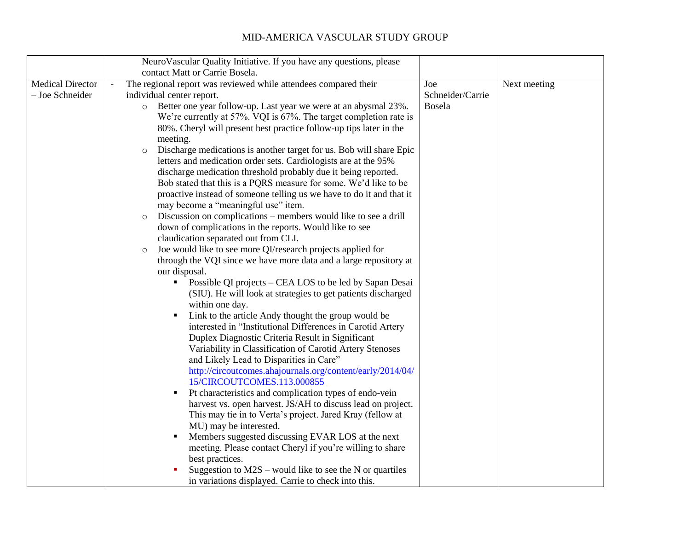|                         | NeuroVascular Quality Initiative. If you have any questions, please                                                                                                                                                                                                                                                                                                                                                                                                                                                                                                                                                                                                                                                                                                                                                                                                                                                                                                                                                                                                                                                                                                                                                                                                                                                                                                                                                                                                                                                                                                                                                                                                                          |                  |              |
|-------------------------|----------------------------------------------------------------------------------------------------------------------------------------------------------------------------------------------------------------------------------------------------------------------------------------------------------------------------------------------------------------------------------------------------------------------------------------------------------------------------------------------------------------------------------------------------------------------------------------------------------------------------------------------------------------------------------------------------------------------------------------------------------------------------------------------------------------------------------------------------------------------------------------------------------------------------------------------------------------------------------------------------------------------------------------------------------------------------------------------------------------------------------------------------------------------------------------------------------------------------------------------------------------------------------------------------------------------------------------------------------------------------------------------------------------------------------------------------------------------------------------------------------------------------------------------------------------------------------------------------------------------------------------------------------------------------------------------|------------------|--------------|
|                         | contact Matt or Carrie Bosela.                                                                                                                                                                                                                                                                                                                                                                                                                                                                                                                                                                                                                                                                                                                                                                                                                                                                                                                                                                                                                                                                                                                                                                                                                                                                                                                                                                                                                                                                                                                                                                                                                                                               |                  |              |
| <b>Medical Director</b> | The regional report was reviewed while attendees compared their                                                                                                                                                                                                                                                                                                                                                                                                                                                                                                                                                                                                                                                                                                                                                                                                                                                                                                                                                                                                                                                                                                                                                                                                                                                                                                                                                                                                                                                                                                                                                                                                                              | Joe              | Next meeting |
| - Joe Schneider         | individual center report.                                                                                                                                                                                                                                                                                                                                                                                                                                                                                                                                                                                                                                                                                                                                                                                                                                                                                                                                                                                                                                                                                                                                                                                                                                                                                                                                                                                                                                                                                                                                                                                                                                                                    | Schneider/Carrie |              |
|                         | Better one year follow-up. Last year we were at an abysmal 23%.<br>$\circ$                                                                                                                                                                                                                                                                                                                                                                                                                                                                                                                                                                                                                                                                                                                                                                                                                                                                                                                                                                                                                                                                                                                                                                                                                                                                                                                                                                                                                                                                                                                                                                                                                   | Bosela           |              |
|                         | We're currently at 57%. VQI is 67%. The target completion rate is                                                                                                                                                                                                                                                                                                                                                                                                                                                                                                                                                                                                                                                                                                                                                                                                                                                                                                                                                                                                                                                                                                                                                                                                                                                                                                                                                                                                                                                                                                                                                                                                                            |                  |              |
|                         | 80%. Cheryl will present best practice follow-up tips later in the                                                                                                                                                                                                                                                                                                                                                                                                                                                                                                                                                                                                                                                                                                                                                                                                                                                                                                                                                                                                                                                                                                                                                                                                                                                                                                                                                                                                                                                                                                                                                                                                                           |                  |              |
|                         | meeting.                                                                                                                                                                                                                                                                                                                                                                                                                                                                                                                                                                                                                                                                                                                                                                                                                                                                                                                                                                                                                                                                                                                                                                                                                                                                                                                                                                                                                                                                                                                                                                                                                                                                                     |                  |              |
|                         | Discharge medications is another target for us. Bob will share Epic<br>$\circ$                                                                                                                                                                                                                                                                                                                                                                                                                                                                                                                                                                                                                                                                                                                                                                                                                                                                                                                                                                                                                                                                                                                                                                                                                                                                                                                                                                                                                                                                                                                                                                                                               |                  |              |
|                         |                                                                                                                                                                                                                                                                                                                                                                                                                                                                                                                                                                                                                                                                                                                                                                                                                                                                                                                                                                                                                                                                                                                                                                                                                                                                                                                                                                                                                                                                                                                                                                                                                                                                                              |                  |              |
|                         |                                                                                                                                                                                                                                                                                                                                                                                                                                                                                                                                                                                                                                                                                                                                                                                                                                                                                                                                                                                                                                                                                                                                                                                                                                                                                                                                                                                                                                                                                                                                                                                                                                                                                              |                  |              |
|                         |                                                                                                                                                                                                                                                                                                                                                                                                                                                                                                                                                                                                                                                                                                                                                                                                                                                                                                                                                                                                                                                                                                                                                                                                                                                                                                                                                                                                                                                                                                                                                                                                                                                                                              |                  |              |
|                         |                                                                                                                                                                                                                                                                                                                                                                                                                                                                                                                                                                                                                                                                                                                                                                                                                                                                                                                                                                                                                                                                                                                                                                                                                                                                                                                                                                                                                                                                                                                                                                                                                                                                                              |                  |              |
|                         |                                                                                                                                                                                                                                                                                                                                                                                                                                                                                                                                                                                                                                                                                                                                                                                                                                                                                                                                                                                                                                                                                                                                                                                                                                                                                                                                                                                                                                                                                                                                                                                                                                                                                              |                  |              |
|                         |                                                                                                                                                                                                                                                                                                                                                                                                                                                                                                                                                                                                                                                                                                                                                                                                                                                                                                                                                                                                                                                                                                                                                                                                                                                                                                                                                                                                                                                                                                                                                                                                                                                                                              |                  |              |
|                         |                                                                                                                                                                                                                                                                                                                                                                                                                                                                                                                                                                                                                                                                                                                                                                                                                                                                                                                                                                                                                                                                                                                                                                                                                                                                                                                                                                                                                                                                                                                                                                                                                                                                                              |                  |              |
|                         |                                                                                                                                                                                                                                                                                                                                                                                                                                                                                                                                                                                                                                                                                                                                                                                                                                                                                                                                                                                                                                                                                                                                                                                                                                                                                                                                                                                                                                                                                                                                                                                                                                                                                              |                  |              |
|                         | $\circ$                                                                                                                                                                                                                                                                                                                                                                                                                                                                                                                                                                                                                                                                                                                                                                                                                                                                                                                                                                                                                                                                                                                                                                                                                                                                                                                                                                                                                                                                                                                                                                                                                                                                                      |                  |              |
|                         |                                                                                                                                                                                                                                                                                                                                                                                                                                                                                                                                                                                                                                                                                                                                                                                                                                                                                                                                                                                                                                                                                                                                                                                                                                                                                                                                                                                                                                                                                                                                                                                                                                                                                              |                  |              |
|                         |                                                                                                                                                                                                                                                                                                                                                                                                                                                                                                                                                                                                                                                                                                                                                                                                                                                                                                                                                                                                                                                                                                                                                                                                                                                                                                                                                                                                                                                                                                                                                                                                                                                                                              |                  |              |
|                         |                                                                                                                                                                                                                                                                                                                                                                                                                                                                                                                                                                                                                                                                                                                                                                                                                                                                                                                                                                                                                                                                                                                                                                                                                                                                                                                                                                                                                                                                                                                                                                                                                                                                                              |                  |              |
|                         |                                                                                                                                                                                                                                                                                                                                                                                                                                                                                                                                                                                                                                                                                                                                                                                                                                                                                                                                                                                                                                                                                                                                                                                                                                                                                                                                                                                                                                                                                                                                                                                                                                                                                              |                  |              |
|                         |                                                                                                                                                                                                                                                                                                                                                                                                                                                                                                                                                                                                                                                                                                                                                                                                                                                                                                                                                                                                                                                                                                                                                                                                                                                                                                                                                                                                                                                                                                                                                                                                                                                                                              |                  |              |
|                         |                                                                                                                                                                                                                                                                                                                                                                                                                                                                                                                                                                                                                                                                                                                                                                                                                                                                                                                                                                                                                                                                                                                                                                                                                                                                                                                                                                                                                                                                                                                                                                                                                                                                                              |                  |              |
|                         |                                                                                                                                                                                                                                                                                                                                                                                                                                                                                                                                                                                                                                                                                                                                                                                                                                                                                                                                                                                                                                                                                                                                                                                                                                                                                                                                                                                                                                                                                                                                                                                                                                                                                              |                  |              |
|                         |                                                                                                                                                                                                                                                                                                                                                                                                                                                                                                                                                                                                                                                                                                                                                                                                                                                                                                                                                                                                                                                                                                                                                                                                                                                                                                                                                                                                                                                                                                                                                                                                                                                                                              |                  |              |
|                         |                                                                                                                                                                                                                                                                                                                                                                                                                                                                                                                                                                                                                                                                                                                                                                                                                                                                                                                                                                                                                                                                                                                                                                                                                                                                                                                                                                                                                                                                                                                                                                                                                                                                                              |                  |              |
|                         |                                                                                                                                                                                                                                                                                                                                                                                                                                                                                                                                                                                                                                                                                                                                                                                                                                                                                                                                                                                                                                                                                                                                                                                                                                                                                                                                                                                                                                                                                                                                                                                                                                                                                              |                  |              |
|                         |                                                                                                                                                                                                                                                                                                                                                                                                                                                                                                                                                                                                                                                                                                                                                                                                                                                                                                                                                                                                                                                                                                                                                                                                                                                                                                                                                                                                                                                                                                                                                                                                                                                                                              |                  |              |
|                         |                                                                                                                                                                                                                                                                                                                                                                                                                                                                                                                                                                                                                                                                                                                                                                                                                                                                                                                                                                                                                                                                                                                                                                                                                                                                                                                                                                                                                                                                                                                                                                                                                                                                                              |                  |              |
|                         |                                                                                                                                                                                                                                                                                                                                                                                                                                                                                                                                                                                                                                                                                                                                                                                                                                                                                                                                                                                                                                                                                                                                                                                                                                                                                                                                                                                                                                                                                                                                                                                                                                                                                              |                  |              |
|                         |                                                                                                                                                                                                                                                                                                                                                                                                                                                                                                                                                                                                                                                                                                                                                                                                                                                                                                                                                                                                                                                                                                                                                                                                                                                                                                                                                                                                                                                                                                                                                                                                                                                                                              |                  |              |
|                         |                                                                                                                                                                                                                                                                                                                                                                                                                                                                                                                                                                                                                                                                                                                                                                                                                                                                                                                                                                                                                                                                                                                                                                                                                                                                                                                                                                                                                                                                                                                                                                                                                                                                                              |                  |              |
|                         |                                                                                                                                                                                                                                                                                                                                                                                                                                                                                                                                                                                                                                                                                                                                                                                                                                                                                                                                                                                                                                                                                                                                                                                                                                                                                                                                                                                                                                                                                                                                                                                                                                                                                              |                  |              |
|                         |                                                                                                                                                                                                                                                                                                                                                                                                                                                                                                                                                                                                                                                                                                                                                                                                                                                                                                                                                                                                                                                                                                                                                                                                                                                                                                                                                                                                                                                                                                                                                                                                                                                                                              |                  |              |
|                         |                                                                                                                                                                                                                                                                                                                                                                                                                                                                                                                                                                                                                                                                                                                                                                                                                                                                                                                                                                                                                                                                                                                                                                                                                                                                                                                                                                                                                                                                                                                                                                                                                                                                                              |                  |              |
|                         |                                                                                                                                                                                                                                                                                                                                                                                                                                                                                                                                                                                                                                                                                                                                                                                                                                                                                                                                                                                                                                                                                                                                                                                                                                                                                                                                                                                                                                                                                                                                                                                                                                                                                              |                  |              |
|                         |                                                                                                                                                                                                                                                                                                                                                                                                                                                                                                                                                                                                                                                                                                                                                                                                                                                                                                                                                                                                                                                                                                                                                                                                                                                                                                                                                                                                                                                                                                                                                                                                                                                                                              |                  |              |
|                         | letters and medication order sets. Cardiologists are at the 95%<br>discharge medication threshold probably due it being reported.<br>Bob stated that this is a PQRS measure for some. We'd like to be<br>proactive instead of someone telling us we have to do it and that it<br>may become a "meaningful use" item.<br>Discussion on complications – members would like to see a drill<br>down of complications in the reports. Would like to see<br>claudication separated out from CLI.<br>Joe would like to see more QI/research projects applied for<br>through the VQI since we have more data and a large repository at<br>our disposal.<br>Possible QI projects – CEA LOS to be led by Sapan Desai<br>$\blacksquare$<br>(SIU). He will look at strategies to get patients discharged<br>within one day.<br>Link to the article Andy thought the group would be<br>٠<br>interested in "Institutional Differences in Carotid Artery<br>Duplex Diagnostic Criteria Result in Significant<br>Variability in Classification of Carotid Artery Stenoses<br>and Likely Lead to Disparities in Care"<br>http://circoutcomes.ahajournals.org/content/early/2014/04/<br>15/CIRCOUTCOMES.113.000855<br>Pt characteristics and complication types of endo-vein<br>harvest vs. open harvest. JS/AH to discuss lead on project.<br>This may tie in to Verta's project. Jared Kray (fellow at<br>MU) may be interested.<br>Members suggested discussing EVAR LOS at the next<br>$\blacksquare$<br>meeting. Please contact Cheryl if you're willing to share<br>best practices.<br>Suggestion to $M2S$ – would like to see the N or quartiles<br>in variations displayed. Carrie to check into this. |                  |              |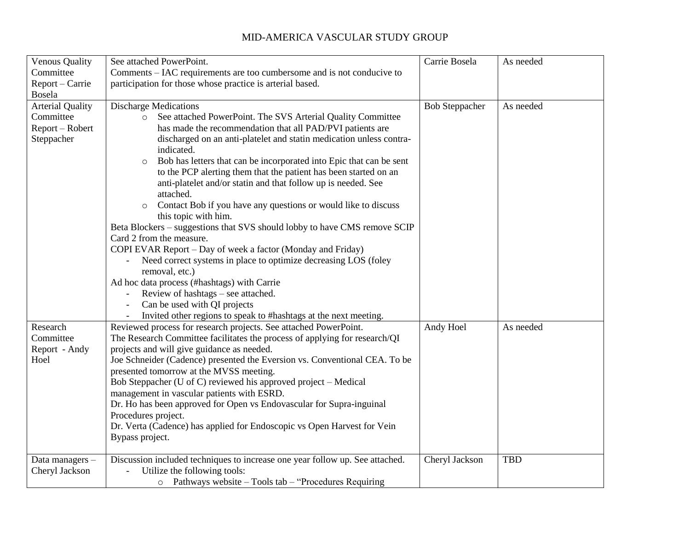| Committee<br>Comments – IAC requirements are too cumbersome and is not conducive to                                             |  |
|---------------------------------------------------------------------------------------------------------------------------------|--|
|                                                                                                                                 |  |
| participation for those whose practice is arterial based.<br>Report – Carrie                                                    |  |
| Bosela                                                                                                                          |  |
| <b>Arterial Quality</b><br><b>Discharge Medications</b><br><b>Bob Steppacher</b><br>As needed                                   |  |
| Committee<br>See attached PowerPoint. The SVS Arterial Quality Committee                                                        |  |
| Report - Robert<br>has made the recommendation that all PAD/PVI patients are                                                    |  |
| Steppacher<br>discharged on an anti-platelet and statin medication unless contra-                                               |  |
| indicated.                                                                                                                      |  |
| Bob has letters that can be incorporated into Epic that can be sent<br>$\circ$                                                  |  |
| to the PCP alerting them that the patient has been started on an                                                                |  |
| anti-platelet and/or statin and that follow up is needed. See                                                                   |  |
| attached.                                                                                                                       |  |
| Contact Bob if you have any questions or would like to discuss                                                                  |  |
| this topic with him.                                                                                                            |  |
| Beta Blockers - suggestions that SVS should lobby to have CMS remove SCIP                                                       |  |
| Card 2 from the measure.                                                                                                        |  |
| COPI EVAR Report – Day of week a factor (Monday and Friday)                                                                     |  |
| Need correct systems in place to optimize decreasing LOS (foley                                                                 |  |
| removal, etc.)                                                                                                                  |  |
| Ad hoc data process (#hashtags) with Carrie                                                                                     |  |
| Review of hashtags - see attached.                                                                                              |  |
| Can be used with QI projects                                                                                                    |  |
| Invited other regions to speak to #hashtags at the next meeting.                                                                |  |
| Reviewed process for research projects. See attached PowerPoint.<br>Andy Hoel<br>Research<br>As needed                          |  |
| The Research Committee facilitates the process of applying for research/QI<br>Committee                                         |  |
| Report - Andy<br>projects and will give guidance as needed.                                                                     |  |
| Hoel<br>Joe Schneider (Cadence) presented the Eversion vs. Conventional CEA. To be                                              |  |
| presented tomorrow at the MVSS meeting.                                                                                         |  |
| Bob Steppacher (U of C) reviewed his approved project - Medical                                                                 |  |
| management in vascular patients with ESRD.                                                                                      |  |
| Dr. Ho has been approved for Open vs Endovascular for Supra-inguinal                                                            |  |
| Procedures project.                                                                                                             |  |
| Dr. Verta (Cadence) has applied for Endoscopic vs Open Harvest for Vein                                                         |  |
| Bypass project.                                                                                                                 |  |
| Discussion included techniques to increase one year follow up. See attached.<br><b>TBD</b><br>Data managers -<br>Cheryl Jackson |  |
| Utilize the following tools:<br>Cheryl Jackson                                                                                  |  |
| o Pathways website - Tools tab - "Procedures Requiring                                                                          |  |